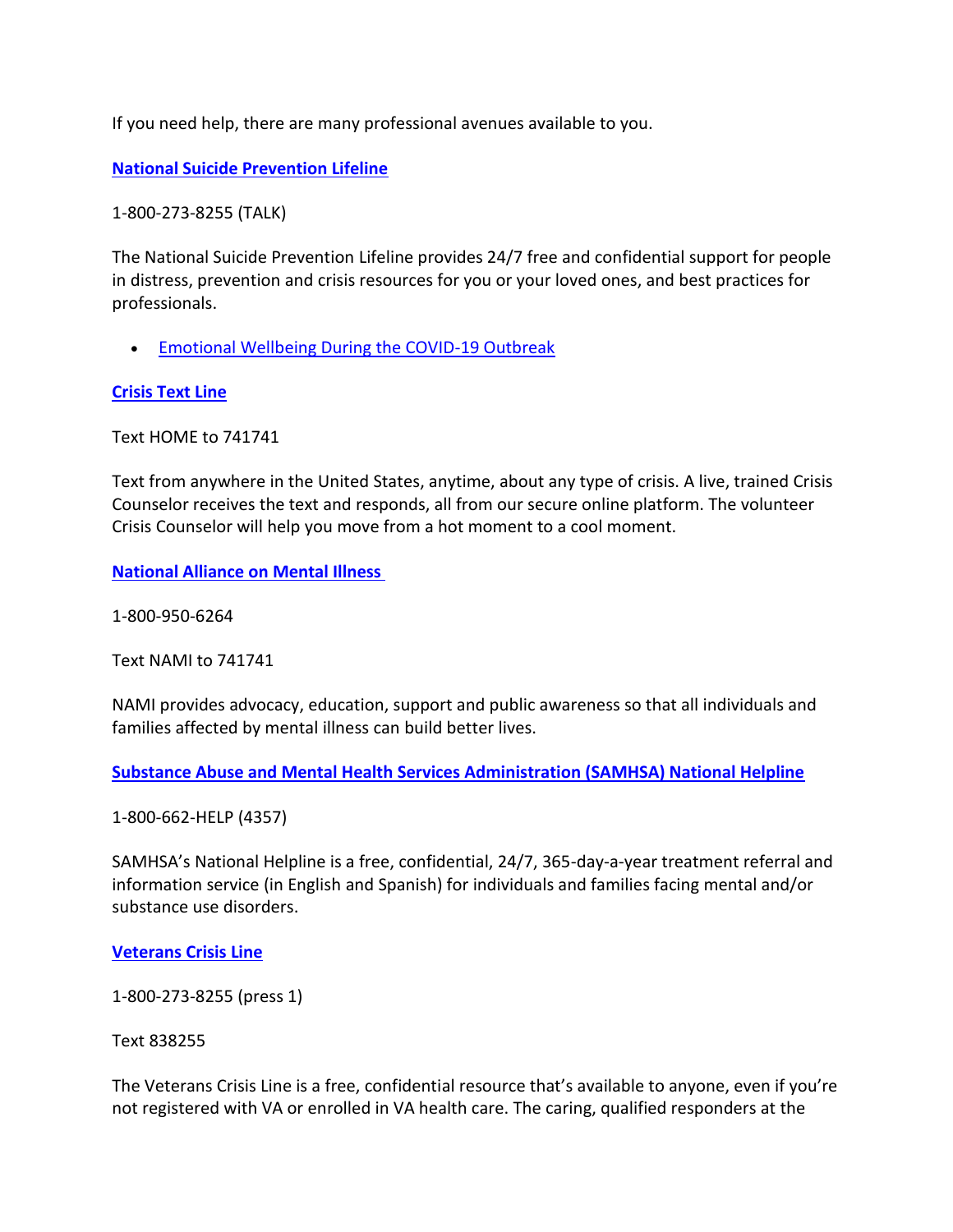If you need help, there are many professional avenues available to you.

**[National Suicide Prevention Lifeline](https://suicidepreventionlifeline.org/)**

1-800-273-8255 (TALK)

The National Suicide Prevention Lifeline provides 24/7 free and confidential support for people in distress, prevention and crisis resources for you or your loved ones, and best practices for professionals.

**[Emotional Wellbeing During the COVID-19 Outbreak](https://suicidepreventionlifeline.org/current-events/supporting-your-emotional-well-being-during-the-covid-19-outbreak/)** 

## **[Crisis Text Line](https://www.crisistextline.org/)**

Text HOME to 741741

Text from anywhere in the United States, anytime, about any type of crisis. A live, trained Crisis Counselor receives the text and responds, all from our secure online platform. The volunteer Crisis Counselor will help you move from a hot moment to a cool moment.

**[National Alliance on Mental Illness](https://www.nami.org/)**

1-800-950-6264

Text NAMI to 741741

NAMI provides advocacy, education, support and public awareness so that all individuals and families affected by mental illness can build better lives.

**Substance Abuse and Mental Health Services Administration (SAMHSA) National Helpline**

1-800-662-HELP (4357)

SAMHSA's National Helpline is a free, confidential, 24/7, 365-day-a-year treatment referral and information service (in English and Spanish) for individuals and families facing mental and/or substance use disorders.

## **[Veterans Crisis Line](https://www.veteranscrisisline.net/)**

1-800-273-8255 (press 1)

Text 838255

The Veterans Crisis Line is a free, confidential resource that's available to anyone, even if you're not registered with VA or enrolled in VA health care. The caring, qualified responders at the